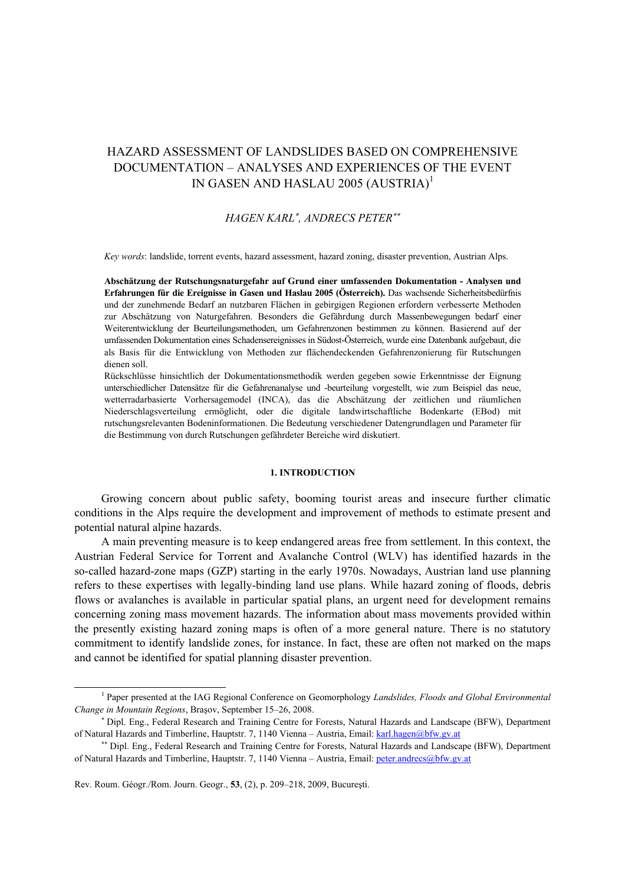# HAZARD ASSESSMENT OF LANDSLIDES BASED ON COMPREHENSIVE DOCUMENTATION – ANALYSES AND EXPERIENCES OF THE EVENT IN GASEN AND HASLAU 2005 (AUSTRIA)<sup>1</sup>

## *HAGEN KARL*<sup>∗</sup> *, ANDRECS PETER*∗∗

*Key words*: landslide, torrent events, hazard assessment, hazard zoning, disaster prevention, Austrian Alps.

**Abschätzung der Rutschungsnaturgefahr auf Grund einer umfassenden Dokumentation - Analysen und Erfahrungen für die Ereignisse in Gasen und Haslau 2005 (Österreich).** Das wachsende Sicherheitsbedürfnis und der zunehmende Bedarf an nutzbaren Flächen in gebirgigen Regionen erfordern verbesserte Methoden zur Abschätzung von Naturgefahren. Besonders die Gefährdung durch Massenbewegungen bedarf einer Weiterentwicklung der Beurteilungsmethoden, um Gefahrenzonen bestimmen zu können. Basierend auf der umfassenden Dokumentation eines Schadensereignisses in Südost-Österreich, wurde eine Datenbank aufgebaut, die als Basis für die Entwicklung von Methoden zur flächendeckenden Gefahrenzonierung für Rutschungen dienen soll.

Rückschlüsse hinsichtlich der Dokumentationsmethodik werden gegeben sowie Erkenntnisse der Eignung unterschiedlicher Datensätze für die Gefahrenanalyse und -beurteilung vorgestellt, wie zum Beispiel das neue, wetterradarbasierte Vorhersagemodel (INCA), das die Abschätzung der zeitlichen und räumlichen Niederschlagsverteilung ermöglicht, oder die digitale landwirtschaftliche Bodenkarte (EBod) mit rutschungsrelevanten Bodeninformationen. Die Bedeutung verschiedener Datengrundlagen und Parameter für die Bestimmung von durch Rutschungen gefährdeter Bereiche wird diskutiert.

### **1. INTRODUCTION**

Growing concern about public safety, booming tourist areas and insecure further climatic conditions in the Alps require the development and improvement of methods to estimate present and potential natural alpine hazards.

A main preventing measure is to keep endangered areas free from settlement. In this context, the Austrian Federal Service for Torrent and Avalanche Control (WLV) has identified hazards in the so-called hazard-zone maps (GZP) starting in the early 1970s. Nowadays, Austrian land use planning refers to these expertises with legally-binding land use plans. While hazard zoning of floods, debris flows or avalanches is available in particular spatial plans, an urgent need for development remains concerning zoning mass movement hazards. The information about mass movements provided within the presently existing hazard zoning maps is often of a more general nature. There is no statutory commitment to identify landslide zones, for instance. In fact, these are often not marked on the maps and cannot be identified for spatial planning disaster prevention.

 $\overline{1}$  Paper presented at the IAG Regional Conference on Geomorphology *Landslides, Floods and Global Environmental Change in Mountain Regions*, Braşov, September 15–26, 2008.

<sup>∗</sup> Dipl. Eng., Federal Research and Training Centre for Forests, Natural Hazards and Landscape (BFW), Department of Natural Hazards and Timberline, Hauptstr. 7, 1140 Vienna – Austria, Email: karl.hagen@bfw.gv.at

<sup>∗∗</sup> Dipl. Eng., Federal Research and Training Centre for Forests, Natural Hazards and Landscape (BFW), Department of Natural Hazards and Timberline, Hauptstr. 7, 1140 Vienna – Austria, Email: peter.andrecs@bfw.gv.at

Rev. Roum. Géogr./Rom. Journ. Geogr., **53**, (2), p. 209–218, 2009, Bucureşti.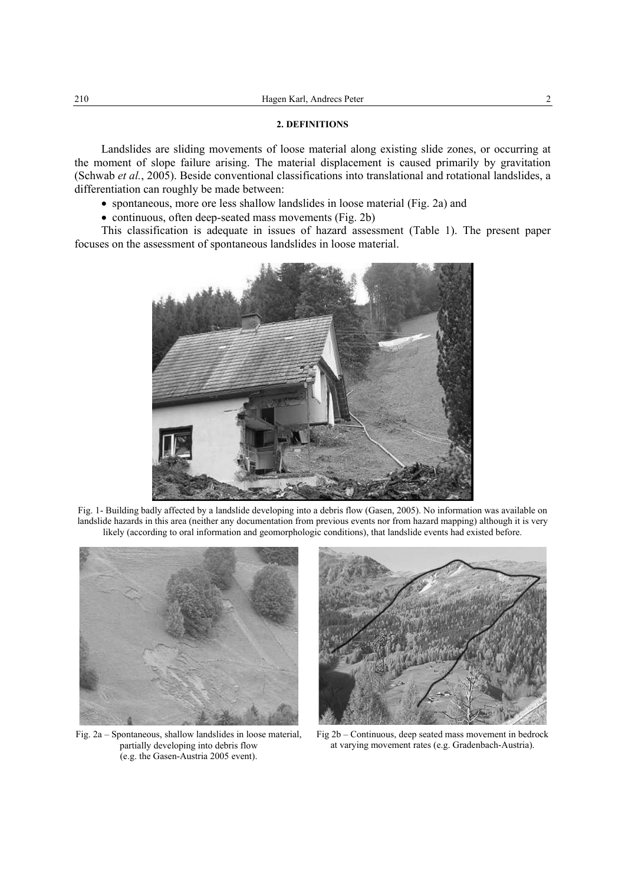#### **2. DEFINITIONS**

Landslides are sliding movements of loose material along existing slide zones, or occurring at the moment of slope failure arising. The material displacement is caused primarily by gravitation (Schwab *et al.*, 2005). Beside conventional classifications into translational and rotational landslides, a differentiation can roughly be made between:

• spontaneous, more ore less shallow landslides in loose material (Fig. 2a) and

• continuous, often deep-seated mass movements (Fig. 2b)

This classification is adequate in issues of hazard assessment (Table 1). The present paper focuses on the assessment of spontaneous landslides in loose material.



Fig. 1- Building badly affected by a landslide developing into a debris flow (Gasen, 2005). No information was available on landslide hazards in this area (neither any documentation from previous events nor from hazard mapping) although it is very likely (according to oral information and geomorphologic conditions), that landslide events had existed before.



Fig. 2a – Spontaneous, shallow landslides in loose material, partially developing into debris flow (e.g. the Gasen-Austria 2005 event).



Fig 2b – Continuous, deep seated mass movement in bedrock at varying movement rates (e.g. Gradenbach-Austria).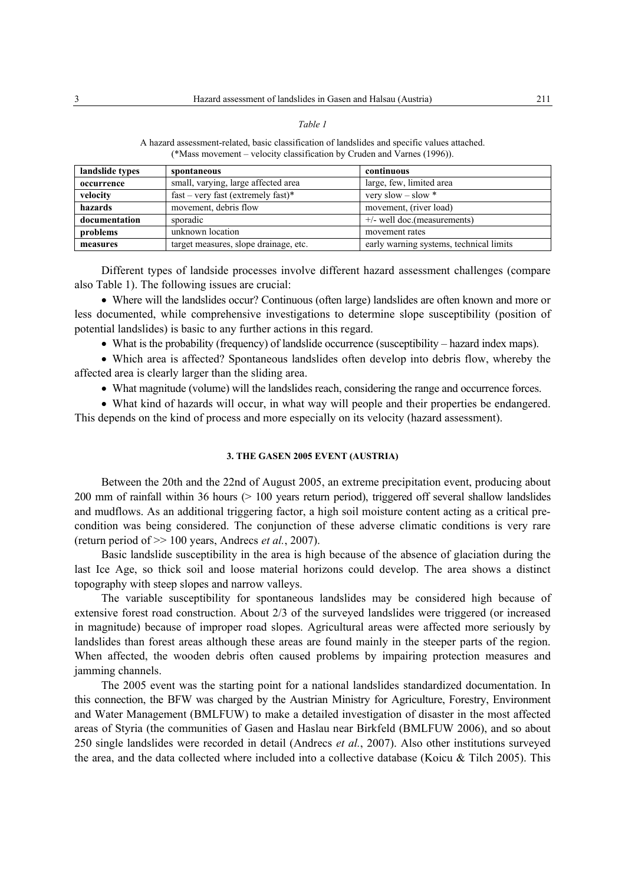#### *Table 1*

A hazard assessment-related, basic classification of landslides and specific values attached. (\*Mass movement – velocity classification by Cruden and Varnes (1996)).

| landslide types | spontaneous                           | continuous                              |
|-----------------|---------------------------------------|-----------------------------------------|
| occurrence      | small, varying, large affected area   | large, few, limited area                |
| velocity        | $fast - very fast (extremely fast)*$  | very slow $-$ slow $*$                  |
| hazards         | movement, debris flow                 | movement, (river load)                  |
| documentation   | sporadic                              | $+/-$ well doc.(measurements)           |
| problems        | unknown location                      | movement rates                          |
| measures        | target measures, slope drainage, etc. | early warning systems, technical limits |

Different types of landside processes involve different hazard assessment challenges (compare also Table 1). The following issues are crucial:

• Where will the landslides occur? Continuous (often large) landslides are often known and more or less documented, while comprehensive investigations to determine slope susceptibility (position of potential landslides) is basic to any further actions in this regard.

• What is the probability (frequency) of landslide occurrence (susceptibility – hazard index maps).

• Which area is affected? Spontaneous landslides often develop into debris flow, whereby the affected area is clearly larger than the sliding area.

• What magnitude (volume) will the landslides reach, considering the range and occurrence forces.

• What kind of hazards will occur, in what way will people and their properties be endangered. This depends on the kind of process and more especially on its velocity (hazard assessment).

#### **3. THE GASEN 2005 EVENT (AUSTRIA)**

Between the 20th and the 22nd of August 2005, an extreme precipitation event, producing about 200 mm of rainfall within 36 hours (> 100 years return period), triggered off several shallow landslides and mudflows. As an additional triggering factor, a high soil moisture content acting as a critical precondition was being considered. The conjunction of these adverse climatic conditions is very rare (return period of >> 100 years, Andrecs *et al.*, 2007).

Basic landslide susceptibility in the area is high because of the absence of glaciation during the last Ice Age, so thick soil and loose material horizons could develop. The area shows a distinct topography with steep slopes and narrow valleys.

The variable susceptibility for spontaneous landslides may be considered high because of extensive forest road construction. About 2/3 of the surveyed landslides were triggered (or increased in magnitude) because of improper road slopes. Agricultural areas were affected more seriously by landslides than forest areas although these areas are found mainly in the steeper parts of the region. When affected, the wooden debris often caused problems by impairing protection measures and jamming channels.

The 2005 event was the starting point for a national landslides standardized documentation. In this connection, the BFW was charged by the Austrian Ministry for Agriculture, Forestry, Environment and Water Management (BMLFUW) to make a detailed investigation of disaster in the most affected areas of Styria (the communities of Gasen and Haslau near Birkfeld (BMLFUW 2006), and so about 250 single landslides were recorded in detail (Andrecs *et al.*, 2007). Also other institutions surveyed the area, and the data collected where included into a collective database (Koicu & Tilch 2005). This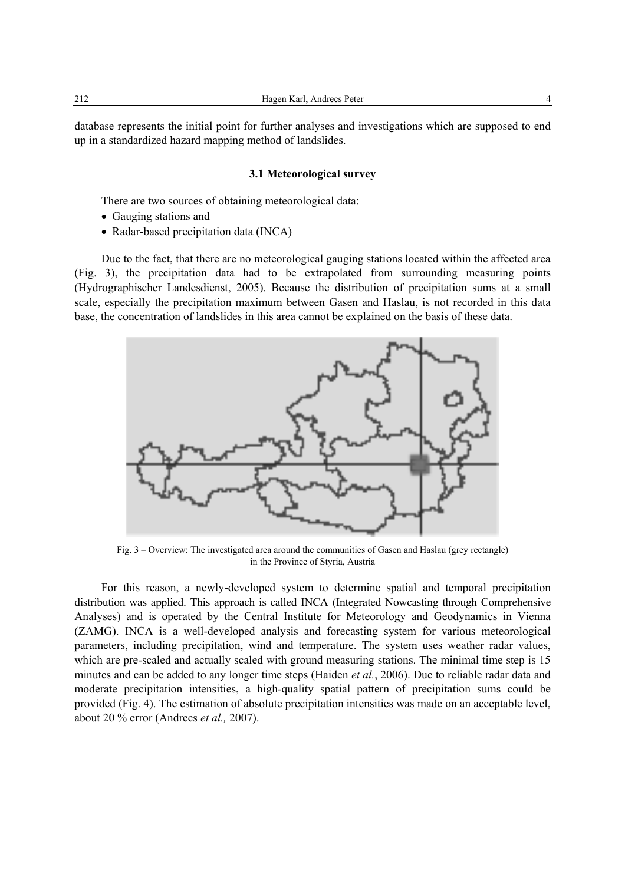database represents the initial point for further analyses and investigations which are supposed to end up in a standardized hazard mapping method of landslides.

#### **3.1 Meteorological survey**

There are two sources of obtaining meteorological data:

- Gauging stations and
- Radar-based precipitation data (INCA)

Due to the fact, that there are no meteorological gauging stations located within the affected area (Fig. 3), the precipitation data had to be extrapolated from surrounding measuring points (Hydrographischer Landesdienst, 2005). Because the distribution of precipitation sums at a small scale, especially the precipitation maximum between Gasen and Haslau, is not recorded in this data base, the concentration of landslides in this area cannot be explained on the basis of these data.



Fig. 3 – Overview: The investigated area around the communities of Gasen and Haslau (grey rectangle) in the Province of Styria, Austria

For this reason, a newly-developed system to determine spatial and temporal precipitation distribution was applied. This approach is called INCA (Integrated Nowcasting through Comprehensive Analyses) and is operated by the Central Institute for Meteorology and Geodynamics in Vienna (ZAMG). INCA is a well-developed analysis and forecasting system for various meteorological parameters, including precipitation, wind and temperature. The system uses weather radar values, which are pre-scaled and actually scaled with ground measuring stations. The minimal time step is 15 minutes and can be added to any longer time steps (Haiden *et al.*, 2006). Due to reliable radar data and moderate precipitation intensities, a high-quality spatial pattern of precipitation sums could be provided (Fig. 4). The estimation of absolute precipitation intensities was made on an acceptable level, about 20 % error (Andrecs *et al.,* 2007).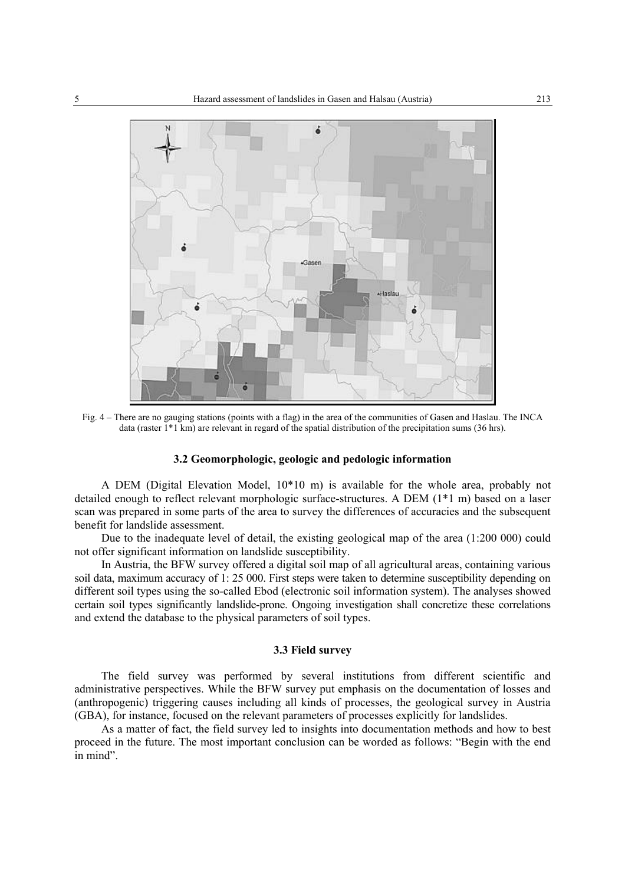

Fig. 4 – There are no gauging stations (points with a flag) in the area of the communities of Gasen and Haslau. The INCA data (raster 1\*1 km) are relevant in regard of the spatial distribution of the precipitation sums (36 hrs).

### **3.2 Geomorphologic, geologic and pedologic information**

A DEM (Digital Elevation Model, 10\*10 m) is available for the whole area, probably not detailed enough to reflect relevant morphologic surface-structures. A DEM (1\*1 m) based on a laser scan was prepared in some parts of the area to survey the differences of accuracies and the subsequent benefit for landslide assessment.

Due to the inadequate level of detail, the existing geological map of the area (1:200 000) could not offer significant information on landslide susceptibility.

In Austria, the BFW survey offered a digital soil map of all agricultural areas, containing various soil data, maximum accuracy of 1: 25 000. First steps were taken to determine susceptibility depending on different soil types using the so-called Ebod (electronic soil information system). The analyses showed certain soil types significantly landslide-prone. Ongoing investigation shall concretize these correlations and extend the database to the physical parameters of soil types.

### **3.3 Field survey**

The field survey was performed by several institutions from different scientific and administrative perspectives. While the BFW survey put emphasis on the documentation of losses and (anthropogenic) triggering causes including all kinds of processes, the geological survey in Austria (GBA), for instance, focused on the relevant parameters of processes explicitly for landslides.

As a matter of fact, the field survey led to insights into documentation methods and how to best proceed in the future. The most important conclusion can be worded as follows: "Begin with the end in mind".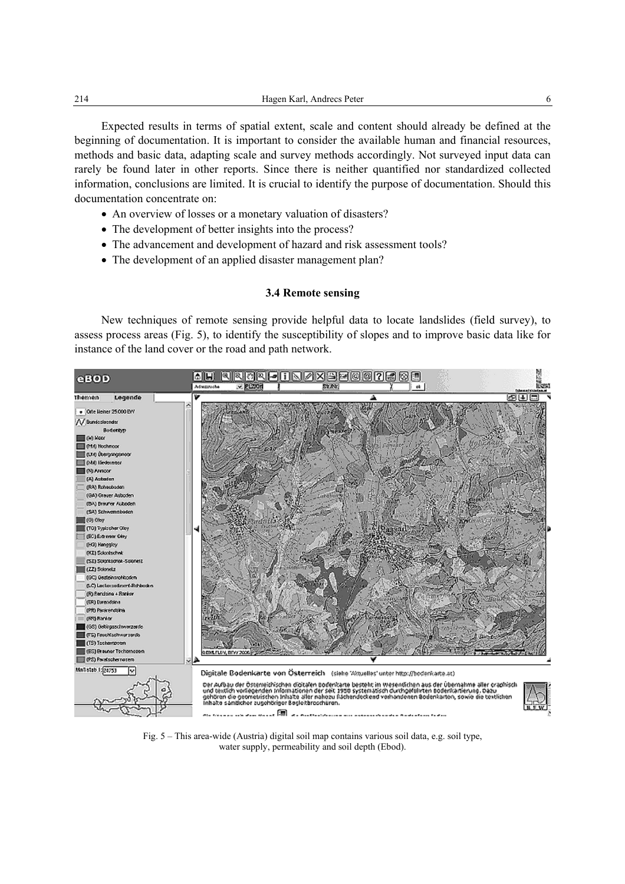Expected results in terms of spatial extent, scale and content should already be defined at the beginning of documentation. It is important to consider the available human and financial resources, methods and basic data, adapting scale and survey methods accordingly. Not surveyed input data can rarely be found later in other reports. Since there is neither quantified nor standardized collected information, conclusions are limited. It is crucial to identify the purpose of documentation. Should this documentation concentrate on:

- An overview of losses or a monetary valuation of disasters?
- The development of better insights into the process?
- The advancement and development of hazard and risk assessment tools?
- The development of an applied disaster management plan?

## **3.4 Remote sensing**

New techniques of remote sensing provide helpful data to locate landslides (field survey), to assess process areas (Fig. 5), to identify the susceptibility of slopes and to improve basic data like for instance of the land cover or the road and path network.



Fig. 5 – This area-wide (Austria) digital soil map contains various soil data, e.g. soil type, water supply, permeability and soil depth (Ebod).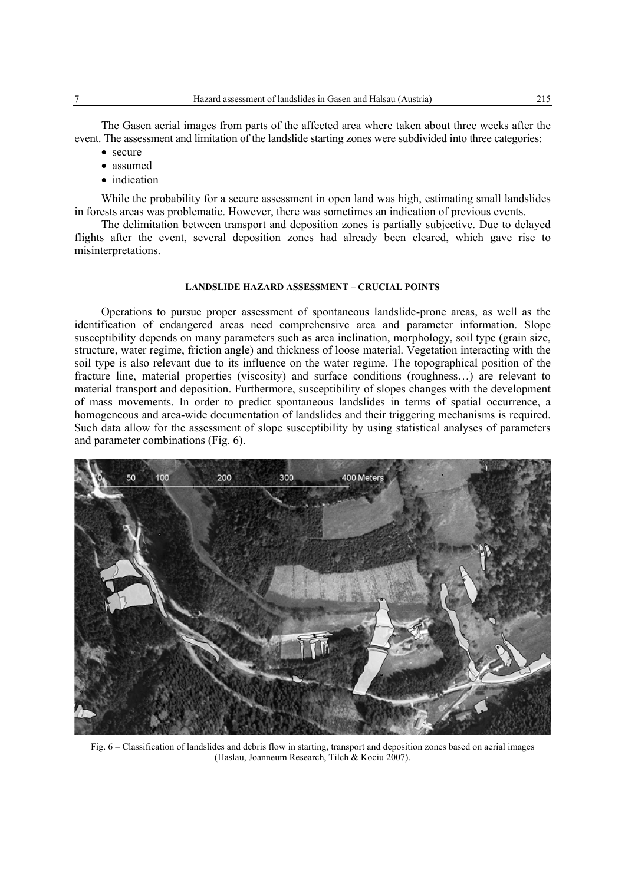The Gasen aerial images from parts of the affected area where taken about three weeks after the event. The assessment and limitation of the landslide starting zones were subdivided into three categories:

- secure
- assumed
- indication

While the probability for a secure assessment in open land was high, estimating small landslides in forests areas was problematic. However, there was sometimes an indication of previous events.

The delimitation between transport and deposition zones is partially subjective. Due to delayed flights after the event, several deposition zones had already been cleared, which gave rise to misinterpretations.

### **LANDSLIDE HAZARD ASSESSMENT – CRUCIAL POINTS**

Operations to pursue proper assessment of spontaneous landslide-prone areas, as well as the identification of endangered areas need comprehensive area and parameter information. Slope susceptibility depends on many parameters such as area inclination, morphology, soil type (grain size, structure, water regime, friction angle) and thickness of loose material. Vegetation interacting with the soil type is also relevant due to its influence on the water regime. The topographical position of the fracture line, material properties (viscosity) and surface conditions (roughness…) are relevant to material transport and deposition. Furthermore, susceptibility of slopes changes with the development of mass movements. In order to predict spontaneous landslides in terms of spatial occurrence, a homogeneous and area-wide documentation of landslides and their triggering mechanisms is required. Such data allow for the assessment of slope susceptibility by using statistical analyses of parameters and parameter combinations (Fig. 6).



Fig. 6 – Classification of landslides and debris flow in starting, transport and deposition zones based on aerial images (Haslau, Joanneum Research, Tilch & Kociu 2007).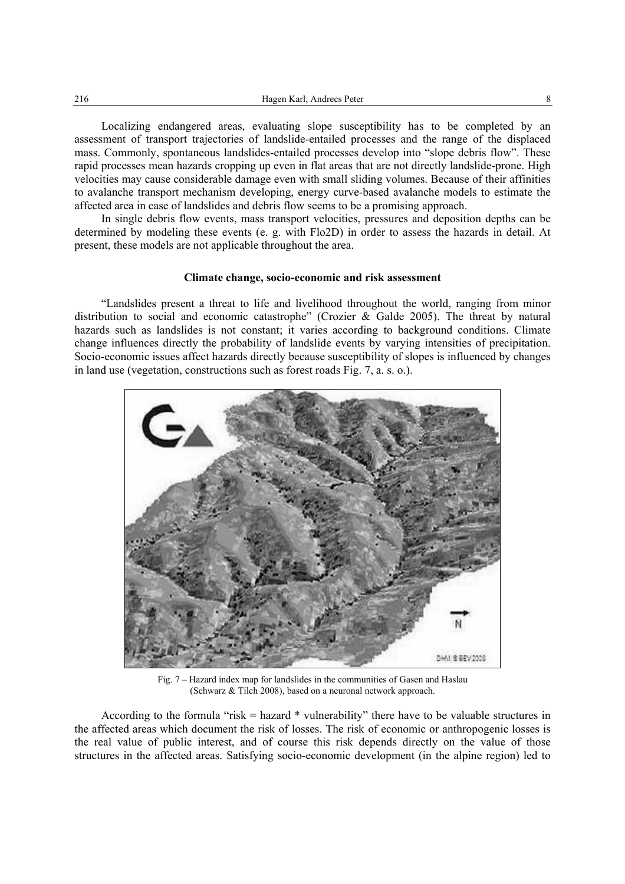Localizing endangered areas, evaluating slope susceptibility has to be completed by an assessment of transport trajectories of landslide-entailed processes and the range of the displaced mass. Commonly, spontaneous landslides-entailed processes develop into "slope debris flow". These rapid processes mean hazards cropping up even in flat areas that are not directly landslide-prone. High velocities may cause considerable damage even with small sliding volumes. Because of their affinities to avalanche transport mechanism developing, energy curve-based avalanche models to estimate the affected area in case of landslides and debris flow seems to be a promising approach.

In single debris flow events, mass transport velocities, pressures and deposition depths can be determined by modeling these events (e. g. with Flo2D) in order to assess the hazards in detail. At present, these models are not applicable throughout the area.

#### **Climate change, socio-economic and risk assessment**

"Landslides present a threat to life and livelihood throughout the world, ranging from minor distribution to social and economic catastrophe" (Crozier & Galde 2005). The threat by natural hazards such as landslides is not constant; it varies according to background conditions. Climate change influences directly the probability of landslide events by varying intensities of precipitation. Socio-economic issues affect hazards directly because susceptibility of slopes is influenced by changes in land use (vegetation, constructions such as forest roads Fig. 7, a. s. o.).



Fig. 7 – Hazard index map for landslides in the communities of Gasen and Haslau (Schwarz & Tilch 2008), based on a neuronal network approach.

According to the formula "risk = hazard \* vulnerability" there have to be valuable structures in the affected areas which document the risk of losses. The risk of economic or anthropogenic losses is the real value of public interest, and of course this risk depends directly on the value of those structures in the affected areas. Satisfying socio-economic development (in the alpine region) led to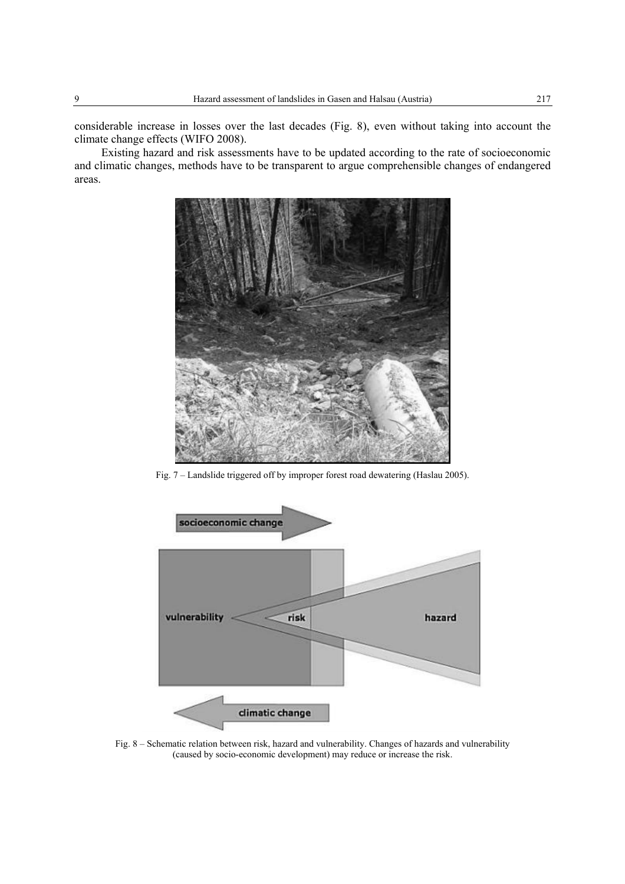considerable increase in losses over the last decades (Fig. 8), even without taking into account the climate change effects (WIFO 2008).

Existing hazard and risk assessments have to be updated according to the rate of socioeconomic and climatic changes, methods have to be transparent to argue comprehensible changes of endangered areas.



Fig. 7 – Landslide triggered off by improper forest road dewatering (Haslau 2005).



Fig. 8 – Schematic relation between risk, hazard and vulnerability. Changes of hazards and vulnerability (caused by socio-economic development) may reduce or increase the risk.